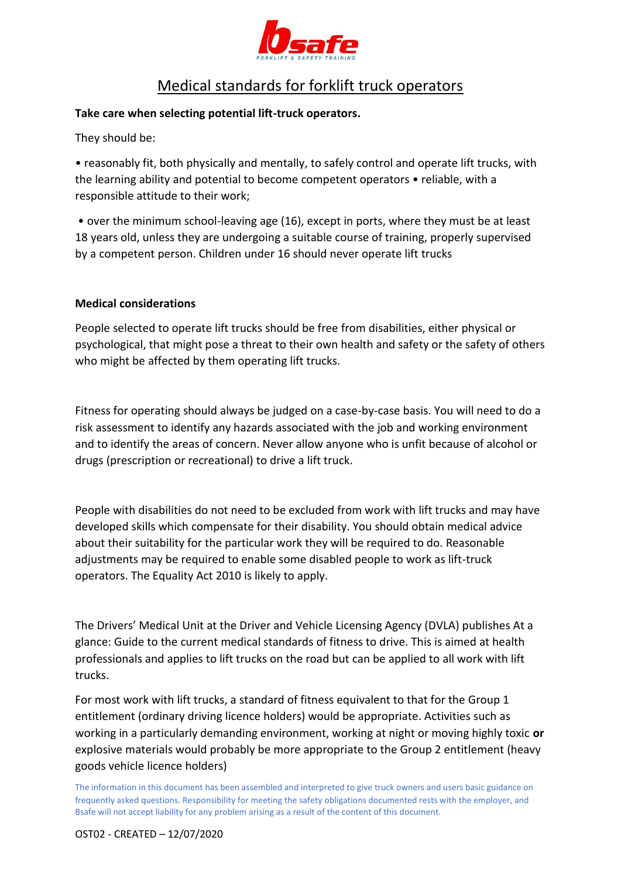

## Medical standards for forklift truck operators

## **Take care when selecting potential lift-truck operators.**

They should be:

• reasonably fit, both physically and mentally, to safely control and operate lift trucks, with the learning ability and potential to become competent operators • reliable, with a responsible attitude to their work;

• over the minimum school-leaving age (16), except in ports, where they must be at least 18 years old, unless they are undergoing a suitable course of training, properly supervised by a competent person. Children under 16 should never operate lift trucks

## **Medical considerations**

People selected to operate lift trucks should be free from disabilities, either physical or psychological, that might pose a threat to their own health and safety or the safety of others who might be affected by them operating lift trucks.

Fitness for operating should always be judged on a case-by-case basis. You will need to do a risk assessment to identify any hazards associated with the job and working environment and to identify the areas of concern. Never allow anyone who is unfit because of alcohol or drugs (prescription or recreational) to drive a lift truck.

People with disabilities do not need to be excluded from work with lift trucks and may have developed skills which compensate for their disability. You should obtain medical advice about their suitability for the particular work they will be required to do. Reasonable adjustments may be required to enable some disabled people to work as lift-truck operators. The Equality Act 2010 is likely to apply.

The Drivers' Medical Unit at the Driver and Vehicle Licensing Agency (DVLA) publishes At a glance: Guide to the current medical standards of fitness to drive. This is aimed at health professionals and applies to lift trucks on the road but can be applied to all work with lift trucks.

For most work with lift trucks, a standard of fitness equivalent to that for the Group 1 entitlement (ordinary driving licence holders) would be appropriate. Activities such as working in a particularly demanding environment, working at night or moving highly toxic **or**  explosive materials would probably be more appropriate to the Group 2 entitlement (heavy goods vehicle licence holders)

The information in this document has been assembled and interpreted to give truck owners and users basic guidance on frequently asked questions. Responsibility for meeting the safety obligations documented rests with the employer, and Bsafe will not accept liability for any problem arising as a result of the content of this document.